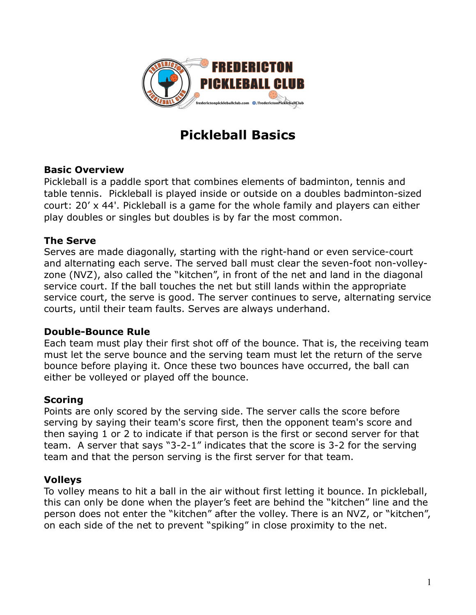

# **Pickleball Basics**

# **Basic Overview**

Pickleball is a paddle sport that combines elements of badminton, tennis and table tennis. Pickleball is played inside or outside on a doubles badminton-sized court: 20' x 44'. Pickleball is a game for the whole family and players can either play doubles or singles but doubles is by far the most common.

## **The Serve**

Serves are made diagonally, starting with the right-hand or even service-court and alternating each serve. The served ball must clear the seven-foot non-volleyzone (NVZ), also called the "kitchen", in front of the net and land in the diagonal service court. If the ball touches the net but still lands within the appropriate service court, the serve is good. The server continues to serve, alternating service courts, until their team faults. Serves are always underhand.

### **Double-Bounce Rule**

Each team must play their first shot off of the bounce. That is, the receiving team must let the serve bounce and the serving team must let the return of the serve bounce before playing it. Once these two bounces have occurred, the ball can either be volleyed or played off the bounce.

# **Scoring**

Points are only scored by the serving side. The server calls the score before serving by saying their team's score first, then the opponent team's score and then saying 1 or 2 to indicate if that person is the first or second server for that team. A server that says "3-2-1" indicates that the score is 3-2 for the serving team and that the person serving is the first server for that team.

### **Volleys**

To volley means to hit a ball in the air without first letting it bounce. In pickleball, this can only be done when the player's feet are behind the "kitchen" line and the person does not enter the "kitchen" after the volley. There is an NVZ, or "kitchen", on each side of the net to prevent "spiking" in close proximity to the net.